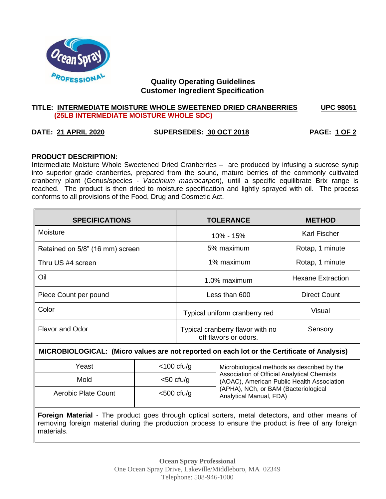

# **Quality Operating Guidelines Customer Ingredient Specification**

#### **TITLE: INTERMEDIATE MOISTURE WHOLE SWEETENED DRIED CRANBERRIES UPC 98051 (25LB INTERMEDIATE MOISTURE WHOLE SDC)**

# **DATE: 21 APRIL 2020 SUPERSEDES: 30 OCT 2018 PAGE: 1 OF 2**

#### **PRODUCT DESCRIPTION:**

Intermediate Moisture Whole Sweetened Dried Cranberries – are produced by infusing a sucrose syrup into superior grade cranberries, prepared from the sound, mature berries of the commonly cultivated cranberry plant (Genus/species - *Vaccinium macrocarpon*), until a specific equilibrate Brix range is reached. The product is then dried to moisture specification and lightly sprayed with oil. The process conforms to all provisions of the Food, Drug and Cosmetic Act.

| <b>SPECIFICATIONS</b>                                                                       | <b>TOLERANCE</b>                                          | <b>METHOD</b>            |  |
|---------------------------------------------------------------------------------------------|-----------------------------------------------------------|--------------------------|--|
| Moisture                                                                                    | 10% - 15%                                                 | Karl Fischer             |  |
| Retained on 5/8" (16 mm) screen                                                             | 5% maximum                                                | Rotap, 1 minute          |  |
| Thru US #4 screen                                                                           | 1% maximum                                                | Rotap, 1 minute          |  |
| Oil                                                                                         | 1.0% maximum                                              | <b>Hexane Extraction</b> |  |
| Piece Count per pound                                                                       | Less than 600                                             | Direct Count             |  |
| Color                                                                                       | Typical uniform cranberry red                             | Visual                   |  |
| <b>Flavor and Odor</b>                                                                      | Typical cranberry flavor with no<br>off flavors or odors. | Sensory                  |  |
| MICROBIOLOGICAL: (Micro values are not reported on each lot or the Certificate of Analysis) |                                                           |                          |  |

| Yeast               | $<$ 100 cfu/g | Microbiological methods as described by the                                               |  |
|---------------------|---------------|-------------------------------------------------------------------------------------------|--|
| Mold                | $<$ 50 cfu/g  | Association of Official Analytical Chemists<br>(AOAC), American Public Health Association |  |
| Aerobic Plate Count | $<$ 500 cfu/g | (APHA), NCh, or BAM (Bacteriological<br>Analytical Manual, FDA)                           |  |

**Foreign Material** - The product goes through optical sorters, metal detectors, and other means of removing foreign material during the production process to ensure the product is free of any foreign materials.